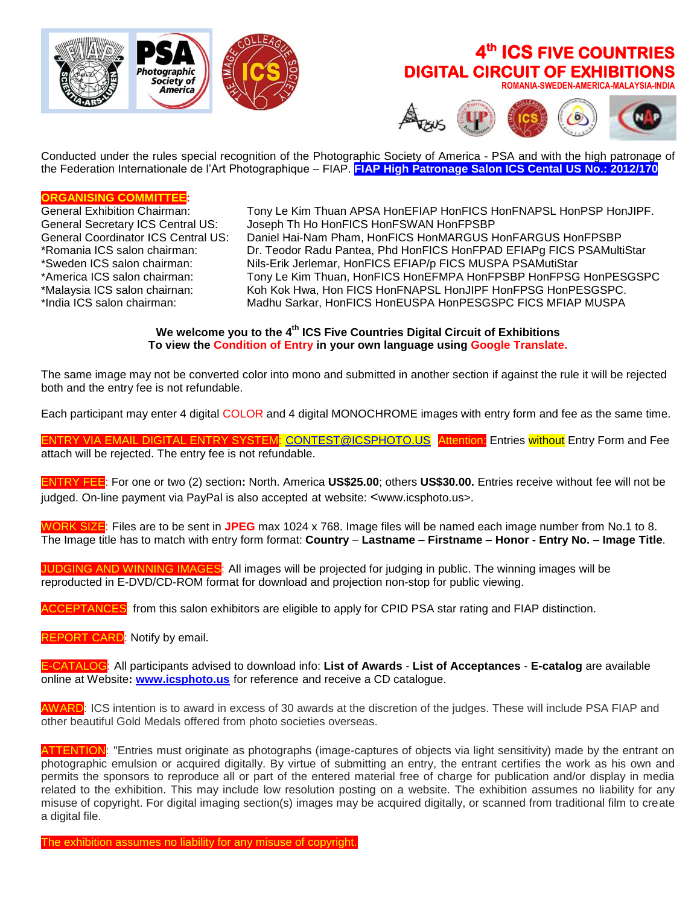

# **4 th ICS FIVE COUNTRIES DIGITAL CIRCUIT OF EXHIBITIONS**

 **ROMANIA-SWEDEN-AMERICA-MALAYSIA-INDIA**



Conducted under the rules special recognition of the Photographic Society of America - PSA and with the high patronage of the Federation Internationale de l'Art Photographique – FIAP. **FIAP High Patronage Salon ICS Cental US No.: 2012/170**

# **ORGANISING COMMITTEE:**

Tony Le Kim Thuan APSA HonEFIAP HonFICS HonFNAPSL HonPSP HonJIPF. General Secretary ICS Central US: Joseph Th Ho HonFICS HonFSWAN HonFPSBP General Coordinator ICS Central US: Daniel Hai-Nam Pham, HonFICS HonMARGUS HonFARGUS HonFPSBP \*Romania ICS salon chairman: Dr. Teodor Radu Pantea, Phd HonFICS HonFPAD EFIAPg FICS PSAMultiStar \*Sweden ICS salon chairman: Nils-Erik Jerlemar, HonFICS EFIAP/p FICS MUSPA PSAMutiStar \*America ICS salon chairman: Tony Le Kim Thuan, HonFICS HonEFMPA HonFPSBP HonFPSG HonPESGSPC \*Malaysia ICS salon chairnan: Koh Kok Hwa, Hon FICS HonFNAPSL HonJIPF HonFPSG HonPESGSPC. Madhu Sarkar, HonFICS HonEUSPA HonPESGSPC FICS MFIAP MUSPA

> **We welcome you to the 4 th ICS Five Countries Digital Circuit of Exhibitions To view the Condition of Entry in your own language using Google Translate.**

The same image may not be converted color into mono and submitted in another section if against the rule it will be rejected both and the entry fee is not refundable.

Each participant may enter 4 digital COLOR and 4 digital MONOCHROME images with entry form and fee as the same time.

ENTRY VIA EMAIL DIGITAL ENTRY SYSTEM: [CONTEST@ICSPHOTO.US](mailto:CONTEST@ICSPHOTO.US) Attention: Entries without Entry Form and Fee attach will be rejected. The entry fee is not refundable.

ENTRY FEE: For one or two (2) section**:** North. America **US\$25.00**; others **US\$30.00.** Entries receive without fee will not be judged. On-line payment via PayPal is also accepted at website: <www.icsphoto.us>.

WORK SIZE: Files are to be sent in **JPEG** max 1024 x 768. Image files will be named each image number from No.1 to 8. The Image title has to match with entry form format: **Country** – **Lastname – Firstname – Honor - Entry No. – Image Title**.

JUDGING AND WINNING IMAGES: All images will be projected for judging in public. The winning images will be reproducted in E-DVD/CD-ROM format for download and projection non-stop for public viewing.

CEPTANCES: from this salon exhibitors are eligible to apply for CPID PSA star rating and FIAP distinction.

REPORT CARD: Notify by email.

E-CATALOG: All participants advised to download info: **List of Awards** - **List of Acceptances** - **E-catalog** are available online at Website**: [www.icsphoto.us](http://www.icsphoto.us/)** for reference and receive a CD catalogue.

AWARD: ICS intention is to award in excess of 30 awards at the discretion of the judges. These will include PSA FIAP and other beautiful Gold Medals offered from photo societies overseas.

ATTENTION: "Entries must originate as photographs (image-captures of objects via light sensitivity) made by the entrant on photographic emulsion or acquired digitally. By virtue of submitting an entry, the entrant certifies the work as his own and permits the sponsors to reproduce all or part of the entered material free of charge for publication and/or display in media related to the exhibition. This may include low resolution posting on a website. The exhibition assumes no liability for any misuse of copyright. For digital imaging section(s) images may be acquired digitally, or scanned from traditional film to create a digital file.

The exhibition assumes no liability for any misuse of copyright.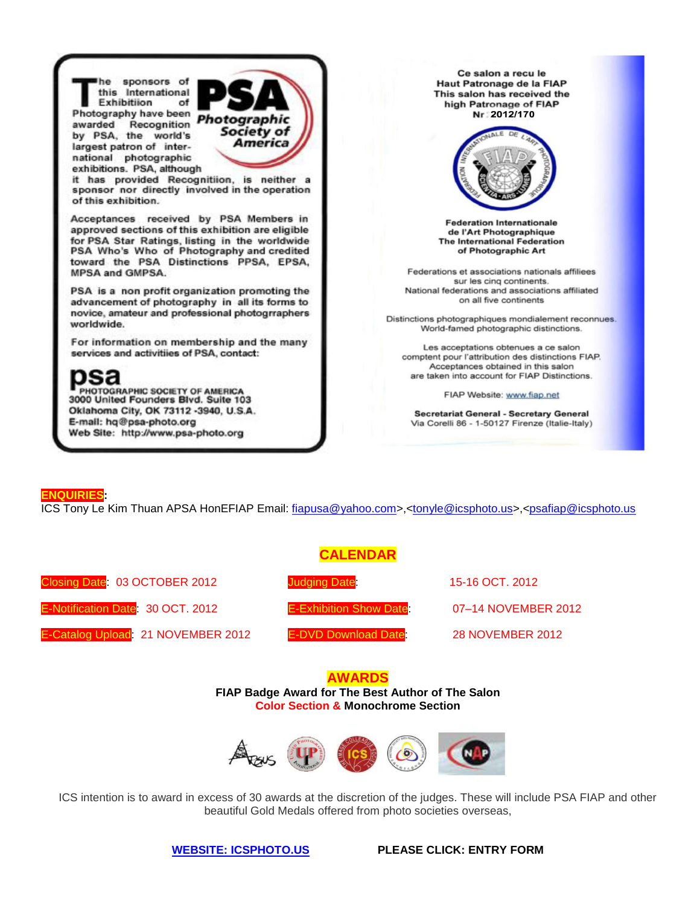he sponsors of this International Exhibitiion of Photography have been Photography have been<br>awarded Recognition **Photographic**<br>Society of by PSA, the world's largest patron of international photographic exhibitions. PSA, although



it has provided Recognitiion, is neither a sponsor nor directly involved in the operation of this exhibition.

Acceptances received by PSA Members in approved sections of this exhibition are eligible for PSA Star Ratings, listing in the worldwide PSA Who's Who of Photography and credited toward the PSA Distinctions PPSA, EPSA, MPSA and GMPSA.

PSA is a non profit organization promoting the advancement of photography in all its forms to novice, amateur and professional photogrraphers worldwide.

For information on membership and the many services and activitiies of PSA, contact:



PHOTOGRAPHIC SOCIETY OF AMERICA<br>3000 United Founders Blvd. Suite 103 Oklahoma City, OK 73112 -3940, U.S.A. E-mail: hq@psa-photo.org Web Site: http://www.psa-photo.org

Ce salon a recu le Haut Patronage de la FIAP This salon has received the high Patronage of FIAP Nr: 2012/170



**Federation Internationale** de l'Art Photographique **The International Federation** of Photographic Art

Federations et associations nationals affiliees sur les cinq continents. National federations and associations affiliated on all five continents

Distinctions photographiques mondialement reconnues. World-famed photographic distinctions.

Les acceptations obtenues a ce salon comptent pour l'attribution des distinctions FIAP. Acceptances obtained in this salon are taken into account for FIAP Distinctions.

FIAP Website: www.fiap.net

**Secretariat General - Secretary General** Via Corelli 86 - 1-50127 Firenze (Italie-Italy)

#### **ENQUIRIES:**

ICS Tony Le Kim Thuan APSA HonEFIAP Email: [fiapusa@yahoo.com>](mailto:fiapusa@yahoo.com),[<tonyle@icsphoto.us>](mailto:tonyle@icsphoto.us),[<psafiap@icsphoto.us](mailto:psafiap@icsphoto.us)

## **CALENDAR**

Closing Date: 03 OCTOBER 2012 Judging Date: 15-16 OCT. 2012

E-Notification Date: 30 OCT. 2012 E-Exhibition Show Date: 07–14 NOVEMBER 2012

E-Catalog Upload: 21 NOVEMBER 2012 E-DVD Download Date: 28 NOVEMBER 2012

### **AWARDS FIAP Badge Award for The Best Author of The Salon**

**Color Section & Monochrome Section**



ICS intention is to award in excess of 30 awards at the discretion of the judges. These will include PSA FIAP and other beautiful Gold Medals offered from photo societies overseas,

**[WEBSITE: ICSPHOTO.US](http://www.icsphoto.us/) PLEASE CLICK: ENTRY FORM**